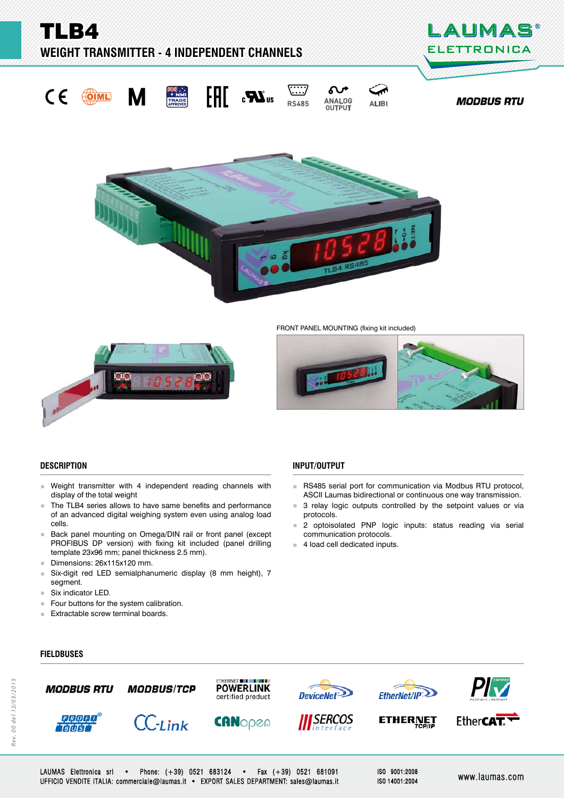TLB4

**WEIGHT TRANSMITTER - 4 INDEPENDENT CHANNELS** 









 $\overline{\cdots}$ 

**RS485** 

Ω ⊂∡ ANALOG **ALIBI OUTPUT** 







FRONT PANEL MOUNTING (fixing kit included)



## **DESCRIPTION ESCRIPTION**

- Weight transmitter with 4 independent reading channels with display of the total weight
- The TLB4 series allows to have same benefits and performance of an advanced digital weighing system even using analog load cells.
- **Back panel mounting on Omega/DIN rail or front panel (except** PROFIBUS DP version) with fixing kit included (panel drilling template 23x96 mm; panel thickness 2.5 mm).
- Dimensions: 26x115x120 mm.
- Six-digit red LED semialphanumeric display (8 mm height), 7 segment.
- Six indicator LED.
- Four buttons for the system calibration.
- **Extractable screw terminal boards.**

# **INPUT/OUTPUT**

- RS485 serial port for communication via Modbus RTU protocol, ASCII Laumas bidirectional or continuous one way transmission.
- 3 relay logic outputs controlled by the setpoint values or via protocols.
- 2 optoisolated PNP logic inputs: status reading via serial communication protocols.
- 4 load cell dedicated inputs.

# **FIELDBUSES IELDBUSES**



LAUMAS Elettronica srl • Phone: (+39) 0521 683124 • Fax (+39) 0521 681091 UFFICIO VENDITE ITALIA: commerciale@laumas.it • EXPORT SALES DEPARTMENT: sales@laumas.it FFICIO www.laumas.com ww.laumas.com

ISO 9001:2008 ISO 14001:2004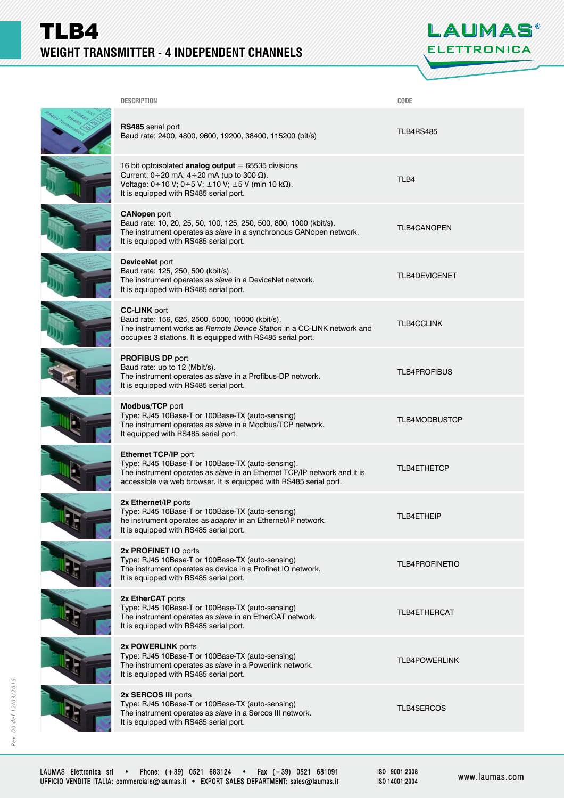# TLB4 **WEIGHT TRANSMITTER - 4 INDEPENDENT CHANNELS**



| <b>DESCRIPTION</b>                                                                                                                                                                                                                 | CODE                  |
|------------------------------------------------------------------------------------------------------------------------------------------------------------------------------------------------------------------------------------|-----------------------|
| RS485 serial port<br>Baud rate: 2400, 4800, 9600, 19200, 38400, 115200 (bit/s)                                                                                                                                                     | <b>TLB4RS485</b>      |
| 16 bit optoisolated analog output = $65535$ divisions<br>Current: $0 \div 20$ mA; $4 \div 20$ mA (up to 300 $\Omega$ ).<br>Voltage: 0 ÷ 10 V; 0 ÷ 5 V; ± 10 V; ± 5 V (min 10 kΩ).<br>It is equipped with RS485 serial port.        | TLB4                  |
| <b>CANopen</b> port<br>Baud rate: 10, 20, 25, 50, 100, 125, 250, 500, 800, 1000 (kbit/s).<br>The instrument operates as slave in a synchronous CANopen network.<br>It is equipped with RS485 serial port.                          | <b>TLB4CANOPEN</b>    |
| DeviceNet port<br>Baud rate: 125, 250, 500 (kbit/s).<br>The instrument operates as slave in a DeviceNet network.<br>It is equipped with RS485 serial port.                                                                         | <b>TLB4DEVICENET</b>  |
| <b>CC-LINK</b> port<br>Baud rate: 156, 625, 2500, 5000, 10000 (kbit/s).<br>The instrument works as Remote Device Station in a CC-LINK network and<br>occupies 3 stations. It is equipped with RS485 serial port.                   | <b>TLB4CCLINK</b>     |
| <b>PROFIBUS DP port</b><br>Baud rate: up to 12 (Mbit/s).<br>The instrument operates as slave in a Profibus-DP network.<br>It is equipped with RS485 serial port.                                                                   | <b>TLB4PROFIBUS</b>   |
| Modbus/TCP port<br>Type: RJ45 10Base-T or 100Base-TX (auto-sensing)<br>The instrument operates as slave in a Modbus/TCP network.<br>It equipped with RS485 serial port.                                                            | <b>TLB4MODBUSTCP</b>  |
| <b>Ethernet TCP/IP port</b><br>Type: RJ45 10Base-T or 100Base-TX (auto-sensing).<br>The instrument operates as slave in an Ethernet TCP/IP network and it is<br>accessible via web browser. It is equipped with RS485 serial port. | <b>TLB4ETHETCP</b>    |
| 2x Ethernet/IP ports<br>Type: RJ45 10Base-T or 100Base-TX (auto-sensing)<br>he instrument operates as adapter in an Ethernet/IP network.<br>It is equipped with RS485 serial port.                                                 | TLB4ETHEIP            |
| 2x PROFINET IO ports<br>Type: RJ45 10Base-T or 100Base-TX (auto-sensing)<br>The instrument operates as device in a Profinet IO network.<br>It is equipped with RS485 serial port.                                                  | <b>TLB4PROFINETIO</b> |
| 2x EtherCAT ports<br>Type: RJ45 10Base-T or 100Base-TX (auto-sensing)<br>The instrument operates as slave in an EtherCAT network.<br>It is equipped with RS485 serial port.                                                        | <b>TLB4ETHERCAT</b>   |
| 2x POWERLINK ports<br>Type: RJ45 10Base-T or 100Base-TX (auto-sensing)<br>The instrument operates as slave in a Powerlink network.<br>It is equipped with RS485 serial port.                                                       | <b>TLB4POWERLINK</b>  |
| 2x SERCOS III ports<br>Type: RJ45 10Base-T or 100Base-TX (auto-sensing)<br>The instrument operates as slave in a Sercos III network.<br>It is equipped with RS485 serial port.                                                     | TLB4SERCOS            |
|                                                                                                                                                                                                                                    |                       |

ISO 9001:2008 ISO 14001:2004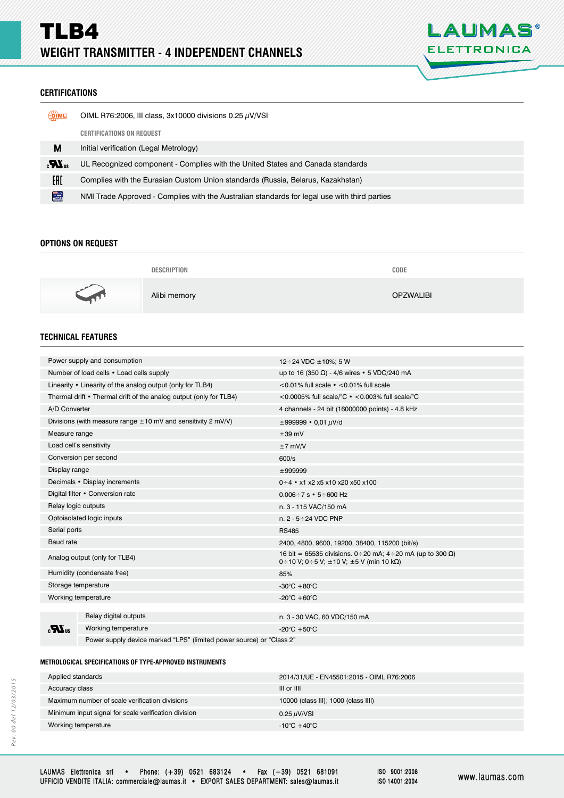

## **CERTIFICATIONS ERTIFICATIONS**

| <b>OIML</b>    | OIML R76:2006, III class, $3x10000$ divisions 0.25 $\mu$ V/VSI                               |  |
|----------------|----------------------------------------------------------------------------------------------|--|
|                | <b>CERTIFICATIONS ON REQUEST</b>                                                             |  |
| М              | Initial verification (Legal Metrology)                                                       |  |
| $\mathbf{r}$   | UL Recognized component - Complies with the United States and Canada standards               |  |
| EAD            | Complies with the Eurasian Custom Union standards (Russia, Belarus, Kazakhstan)              |  |
| <b>TANKING</b> | NMI Trade Approved - Complies with the Australian standards for legal use with third parties |  |

## **OPTIONS ON REQUEST PTIONS ON REQUEST**

|     | <b>DESCRIPTION</b> | CODE             |
|-----|--------------------|------------------|
| - 7 | Alibi memory       | <b>OPZWALIBI</b> |

# **TECHNICAL FEATURES**

| Power supply and consumption                                       |                       | 12 ÷ 24 VDC $\pm$ 10%; 5 W                                                                                           |  |
|--------------------------------------------------------------------|-----------------------|----------------------------------------------------------------------------------------------------------------------|--|
| Number of load cells • Load cells supply                           |                       | up to 16 (350 Ω) - 4/6 wires • 5 VDC/240 mA                                                                          |  |
| Linearity $\cdot$ Linearity of the analog output (only for TLB4)   |                       | $<$ 0.01% full scale $\cdot$ $<$ 0.01% full scale                                                                    |  |
| Thermal drift • Thermal drift of the analog output (only for TLB4) |                       | <0.0005% full scale/°C • <0.003% full scale/°C                                                                       |  |
| A/D Converter                                                      |                       | 4 channels - 24 bit (16000000 points) - 4.8 kHz                                                                      |  |
| Divisions (with measure range $\pm 10$ mV and sensitivity 2 mV/V)  |                       | $\pm 999999 \cdot 0.01 \mu V/d$                                                                                      |  |
| Measure range                                                      |                       | $\pm 39$ mV                                                                                                          |  |
| Load cell's sensitivity                                            |                       | $±7$ mV/V                                                                                                            |  |
| Conversion per second                                              |                       | 600/s                                                                                                                |  |
| Display range                                                      |                       | ±999999                                                                                                              |  |
| Decimals • Display increments                                      |                       | $0 \div 4$ • x1 x2 x5 x10 x20 x50 x100                                                                               |  |
| Digital filter • Conversion rate                                   |                       | $0.006 \div 7$ s $\cdot$ 5 $\div$ 600 Hz                                                                             |  |
| Relay logic outputs                                                |                       | n. 3 - 115 VAC/150 mA                                                                                                |  |
| Optoisolated logic inputs                                          |                       | n. $2 - 5 \div 24$ VDC PNP                                                                                           |  |
| Serial ports                                                       |                       | <b>RS485</b>                                                                                                         |  |
| Baud rate                                                          |                       | 2400, 4800, 9600, 19200, 38400, 115200 (bit/s)                                                                       |  |
| Analog output (only for TLB4)                                      |                       | 16 bit = 65535 divisions. 0 ÷ 20 mA; 4 ÷ 20 mA (up to 300 Ω)<br>0 ÷ 10 V; 0 ÷ 5 V; $\pm$ 10 V; $\pm$ 5 V (min 10 kΩ) |  |
| Humidity (condensate free)                                         |                       | 85%                                                                                                                  |  |
| Storage temperature                                                |                       | $-30^{\circ}$ C + 80 $^{\circ}$ C                                                                                    |  |
| Working temperature                                                |                       | -20 $\mathrm{^{\circ}C}$ +60 $\mathrm{^{\circ}C}$                                                                    |  |
|                                                                    |                       |                                                                                                                      |  |
| $_{\rm eff}$ $\boldsymbol{M}_{\rm u}$                              | Relay digital outputs | n. 3 - 30 VAC, 60 VDC/150 mA                                                                                         |  |
|                                                                    | Working temperature   | -20 $^{\circ}$ C +50 $^{\circ}$ C                                                                                    |  |
|                                                                    |                       |                                                                                                                      |  |

Power supply device marked "LPS" (limited power source) or "Class 2"

## **METROLOGICAL SPECIFICATIONS OF TYPE-APPROVED INSTRUMENTS ETROLOGICAL SPECIFICATIONS OF TYPE-APPROVED**

| 2014/31/UE - EN45501:2015 - OIML R76:2006 |  |
|-------------------------------------------|--|
| III or IIII                               |  |
| 10000 (class III); 1000 (class IIII)      |  |
| $0.25 \mu\text{V/N}$ SI                   |  |
| $-10^{\circ}$ C +40 $^{\circ}$ C          |  |
|                                           |  |